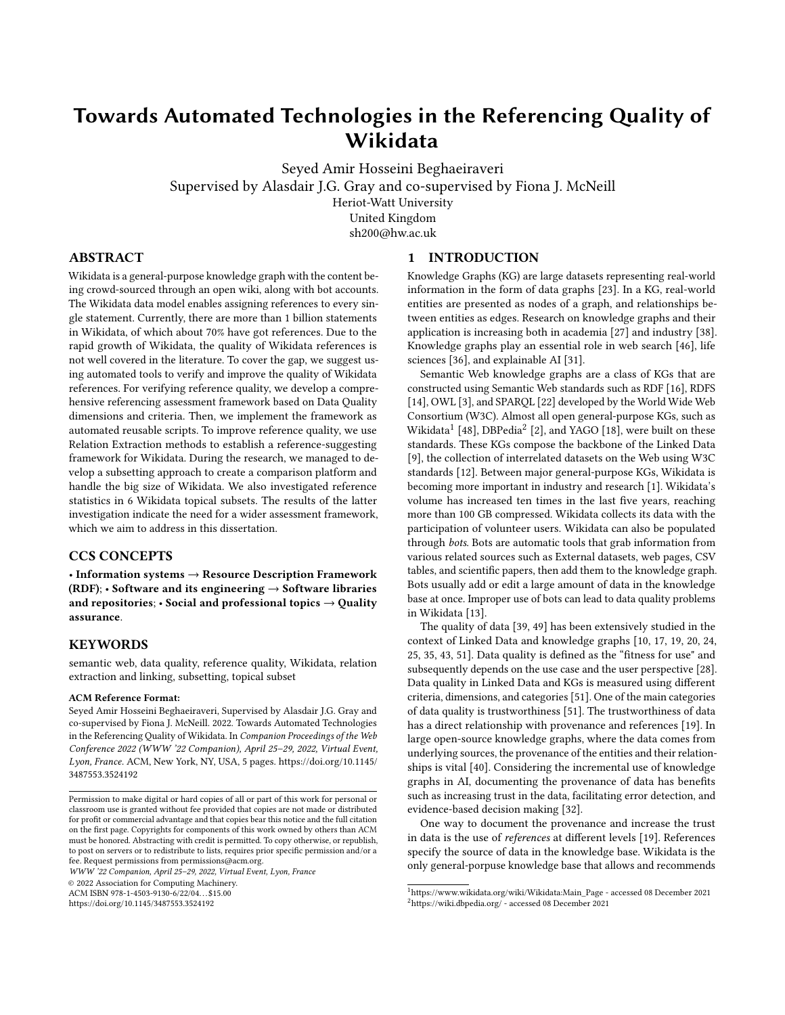# Towards Automated Technologies in the Referencing Quality of Wikidata

[Seyed Amir Hosseini Beghaeiraveri](https://orcid.org/0000-0002-9123-5686) [Supervised by Alasdair J.G. Gray and co-supervised by Fiona J. McNeill](https://orcid.org/0000-0002-9123-5686) Heriot-Watt University United Kingdom sh200@hw.ac.uk

# ABSTRACT

Wikidata is a general-purpose knowledge graph with the content being crowd-sourced through an open wiki, along with bot accounts. The Wikidata data model enables assigning references to every single statement. Currently, there are more than 1 billion statements in Wikidata, of which about 70% have got references. Due to the rapid growth of Wikidata, the quality of Wikidata references is not well covered in the literature. To cover the gap, we suggest using automated tools to verify and improve the quality of Wikidata references. For verifying reference quality, we develop a comprehensive referencing assessment framework based on Data Quality dimensions and criteria. Then, we implement the framework as automated reusable scripts. To improve reference quality, we use Relation Extraction methods to establish a reference-suggesting framework for Wikidata. During the research, we managed to develop a subsetting approach to create a comparison platform and handle the big size of Wikidata. We also investigated reference statistics in 6 Wikidata topical subsets. The results of the latter investigation indicate the need for a wider assessment framework, which we aim to address in this dissertation.

### CCS CONCEPTS

• Information systems → Resource Description Framework (RDF);  $\cdot$  Software and its engineering  $\rightarrow$  Software libraries and repositories;  $\cdot$  Social and professional topics  $\rightarrow$  Quality assurance.

## **KEYWORDS**

semantic web, data quality, reference quality, Wikidata, relation extraction and linking, subsetting, topical subset

#### ACM Reference Format:

Seyed Amir Hosseini Beghaeiraveri, Supervised by Alasdair J.G. Gray and co-supervised by Fiona J. McNeill. 2022. Towards Automated Technologies in the Referencing Quality of Wikidata. In Companion Proceedings of the Web Conference 2022 (WWW '22 Companion), April 25–29, 2022, Virtual Event, Lyon, France. ACM, New York, NY, USA, [5](#page-4-0) pages. [https://doi.org/10.1145/](https://doi.org/10.1145/3487553.3524192) [3487553.3524192](https://doi.org/10.1145/3487553.3524192)

WWW '22 Companion, April 25–29, 2022, Virtual Event, Lyon, France

© 2022 Association for Computing Machinery.

ACM ISBN 978-1-4503-9130-6/22/04. . . \$15.00

<https://doi.org/10.1145/3487553.3524192>

#### 1 INTRODUCTION

Knowledge Graphs (KG) are large datasets representing real-world information in the form of data graphs [\[23\]](#page-4-1). In a KG, real-world entities are presented as nodes of a graph, and relationships between entities as edges. Research on knowledge graphs and their application is increasing both in academia [\[27\]](#page-4-2) and industry [\[38\]](#page-4-3). Knowledge graphs play an essential role in web search [\[46\]](#page-4-4), life sciences [\[36\]](#page-4-5), and explainable AI [\[31\]](#page-4-6).

Semantic Web knowledge graphs are a class of KGs that are constructed using Semantic Web standards such as RDF [\[16\]](#page-4-7), RDFS [\[14\]](#page-4-8), OWL [\[3\]](#page-4-9), and SPARQL [\[22\]](#page-4-10) developed by the World Wide Web Consortium (W3C). Almost all open general-purpose KGs, such as Wikidata $^1$  $^1$  [\[48\]](#page-4-11), DBPedia $^2$  $^2$  [\[2\]](#page-4-12), and YAGO [\[18\]](#page-4-13), were built on these standards. These KGs compose the backbone of the Linked Data [\[9\]](#page-4-14), the collection of interrelated datasets on the Web using W3C standards [\[12\]](#page-4-15). Between major general-purpose KGs, Wikidata is becoming more important in industry and research [\[1\]](#page-4-16). Wikidata's volume has increased ten times in the last five years, reaching more than 100 GB compressed. Wikidata collects its data with the participation of volunteer users. Wikidata can also be populated through bots. Bots are automatic tools that grab information from various related sources such as External datasets, web pages, CSV tables, and scientific papers, then add them to the knowledge graph. Bots usually add or edit a large amount of data in the knowledge base at once. Improper use of bots can lead to data quality problems in Wikidata [\[13\]](#page-4-17).

The quality of data [\[39,](#page-4-18) [49\]](#page-4-19) has been extensively studied in the context of Linked Data and knowledge graphs [\[10,](#page-4-20) [17,](#page-4-21) [19,](#page-4-22) [20,](#page-4-23) [24,](#page-4-24) [25,](#page-4-25) [35,](#page-4-26) [43,](#page-4-27) [51\]](#page-4-28). Data quality is defined as the "fitness for use" and subsequently depends on the use case and the user perspective [\[28\]](#page-4-29). Data quality in Linked Data and KGs is measured using different criteria, dimensions, and categories [\[51\]](#page-4-28). One of the main categories of data quality is trustworthiness [\[51\]](#page-4-28). The trustworthiness of data has a direct relationship with provenance and references [\[19\]](#page-4-22). In large open-source knowledge graphs, where the data comes from underlying sources, the provenance of the entities and their relationships is vital [\[40\]](#page-4-30). Considering the incremental use of knowledge graphs in AI, documenting the provenance of data has benefits such as increasing trust in the data, facilitating error detection, and evidence-based decision making [\[32\]](#page-4-31).

One way to document the provenance and increase the trust in data is the use of references at different levels [\[19\]](#page-4-22). References specify the source of data in the knowledge base. Wikidata is the only general-porpuse knowledge base that allows and recommends

Permission to make digital or hard copies of all or part of this work for personal or classroom use is granted without fee provided that copies are not made or distributed for profit or commercial advantage and that copies bear this notice and the full citation on the first page. Copyrights for components of this work owned by others than ACM must be honored. Abstracting with credit is permitted. To copy otherwise, or republish, to post on servers or to redistribute to lists, requires prior specific permission and/or a fee. Request permissions from permissions@acm.org.

<span id="page-0-1"></span><span id="page-0-0"></span><sup>1</sup>[https://www.wikidata.org/wiki/Wikidata:Main\\_Page](https://www.wikidata.org/wiki/Wikidata:Main_Page) - accessed 08 December 2021 <sup>2</sup><https://wiki.dbpedia.org/> - accessed 08 December 2021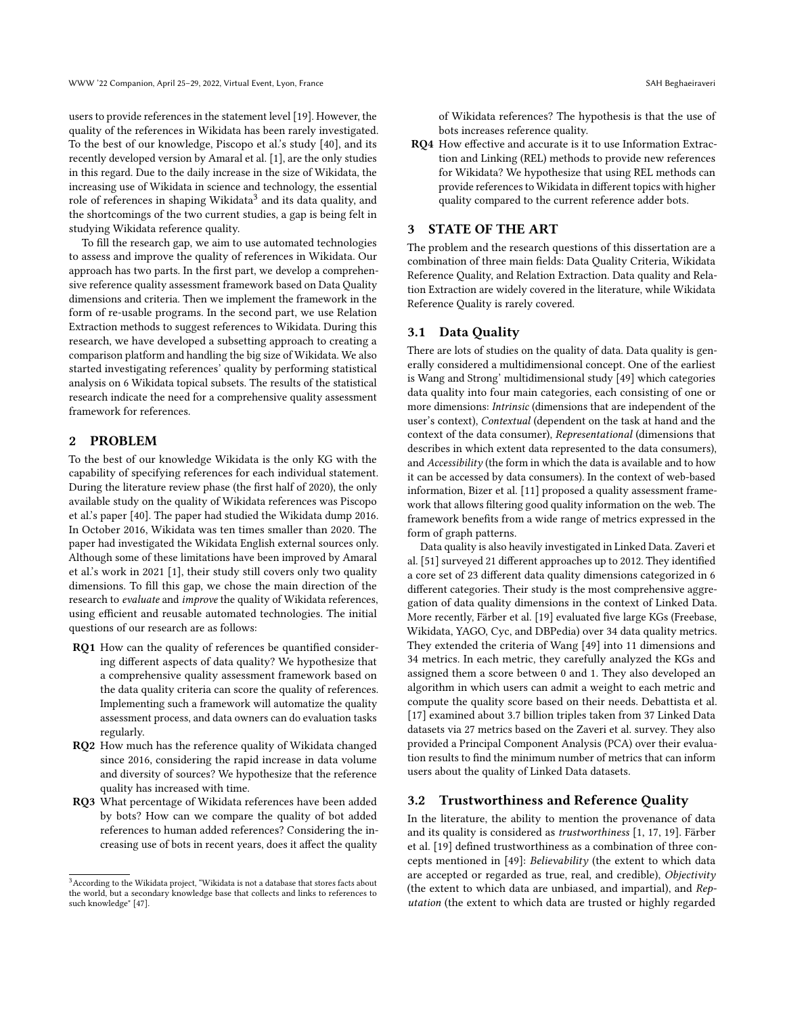users to provide references in the statement level [\[19\]](#page-4-22). However, the quality of the references in Wikidata has been rarely investigated. To the best of our knowledge, Piscopo et al.'s study [\[40\]](#page-4-30), and its recently developed version by Amaral et al. [\[1\]](#page-4-16), are the only studies in this regard. Due to the daily increase in the size of Wikidata, the increasing use of Wikidata in science and technology, the essential role of references in shaping Wikidata $^3$  $^3$  and its data quality, and the shortcomings of the two current studies, a gap is being felt in studying Wikidata reference quality.

To fill the research gap, we aim to use automated technologies to assess and improve the quality of references in Wikidata. Our approach has two parts. In the first part, we develop a comprehensive reference quality assessment framework based on Data Quality dimensions and criteria. Then we implement the framework in the form of re-usable programs. In the second part, we use Relation Extraction methods to suggest references to Wikidata. During this research, we have developed a subsetting approach to creating a comparison platform and handling the big size of Wikidata. We also started investigating references' quality by performing statistical analysis on 6 Wikidata topical subsets. The results of the statistical research indicate the need for a comprehensive quality assessment framework for references.

#### 2 PROBLEM

To the best of our knowledge Wikidata is the only KG with the capability of specifying references for each individual statement. During the literature review phase (the first half of 2020), the only available study on the quality of Wikidata references was Piscopo et al.'s paper [\[40\]](#page-4-30). The paper had studied the Wikidata dump 2016. In October 2016, Wikidata was ten times smaller than 2020. The paper had investigated the Wikidata English external sources only. Although some of these limitations have been improved by Amaral et al.'s work in 2021 [\[1\]](#page-4-16), their study still covers only two quality dimensions. To fill this gap, we chose the main direction of the research to evaluate and improve the quality of Wikidata references, using efficient and reusable automated technologies. The initial questions of our research are as follows:

- RQ1 How can the quality of references be quantified considering different aspects of data quality? We hypothesize that a comprehensive quality assessment framework based on the data quality criteria can score the quality of references. Implementing such a framework will automatize the quality assessment process, and data owners can do evaluation tasks regularly.
- RQ2 How much has the reference quality of Wikidata changed since 2016, considering the rapid increase in data volume and diversity of sources? We hypothesize that the reference quality has increased with time.
- RQ3 What percentage of Wikidata references have been added by bots? How can we compare the quality of bot added references to human added references? Considering the increasing use of bots in recent years, does it affect the quality

of Wikidata references? The hypothesis is that the use of bots increases reference quality.

RQ4 How effective and accurate is it to use Information Extraction and Linking (REL) methods to provide new references for Wikidata? We hypothesize that using REL methods can provide references to Wikidata in different topics with higher quality compared to the current reference adder bots.

#### 3 STATE OF THE ART

The problem and the research questions of this dissertation are a combination of three main fields: Data Quality Criteria, Wikidata Reference Quality, and Relation Extraction. Data quality and Relation Extraction are widely covered in the literature, while Wikidata Reference Quality is rarely covered.

#### 3.1 Data Quality

There are lots of studies on the quality of data. Data quality is generally considered a multidimensional concept. One of the earliest is Wang and Strong' multidimensional study [\[49\]](#page-4-19) which categories data quality into four main categories, each consisting of one or more dimensions: Intrinsic (dimensions that are independent of the user's context), Contextual (dependent on the task at hand and the context of the data consumer), Representational (dimensions that describes in which extent data represented to the data consumers), and Accessibility (the form in which the data is available and to how it can be accessed by data consumers). In the context of web-based information, Bizer et al. [\[11\]](#page-4-33) proposed a quality assessment framework that allows filtering good quality information on the web. The framework benefits from a wide range of metrics expressed in the form of graph patterns.

Data quality is also heavily investigated in Linked Data. Zaveri et al. [\[51\]](#page-4-28) surveyed 21 different approaches up to 2012. They identified a core set of 23 different data quality dimensions categorized in 6 different categories. Their study is the most comprehensive aggregation of data quality dimensions in the context of Linked Data. More recently, Färber et al. [\[19\]](#page-4-22) evaluated five large KGs (Freebase, Wikidata, YAGO, Cyc, and DBPedia) over 34 data quality metrics. They extended the criteria of Wang [\[49\]](#page-4-19) into 11 dimensions and 34 metrics. In each metric, they carefully analyzed the KGs and assigned them a score between 0 and 1. They also developed an algorithm in which users can admit a weight to each metric and compute the quality score based on their needs. Debattista et al. [\[17\]](#page-4-21) examined about 3.7 billion triples taken from 37 Linked Data datasets via 27 metrics based on the Zaveri et al. survey. They also provided a Principal Component Analysis (PCA) over their evaluation results to find the minimum number of metrics that can inform users about the quality of Linked Data datasets.

#### 3.2 Trustworthiness and Reference Quality

In the literature, the ability to mention the provenance of data and its quality is considered as trustworthiness [\[1,](#page-4-16) [17,](#page-4-21) [19\]](#page-4-22). Färber et al. [\[19\]](#page-4-22) defined trustworthiness as a combination of three concepts mentioned in [\[49\]](#page-4-19): Believability (the extent to which data are accepted or regarded as true, real, and credible), Objectivity (the extent to which data are unbiased, and impartial), and Reputation (the extent to which data are trusted or highly regarded

<span id="page-1-0"></span><sup>3</sup>According to the Wikidata project, "Wikidata is not a database that stores facts about the world, but a secondary knowledge base that collects and links to references to such knowledge" [\[47\]](#page-4-32).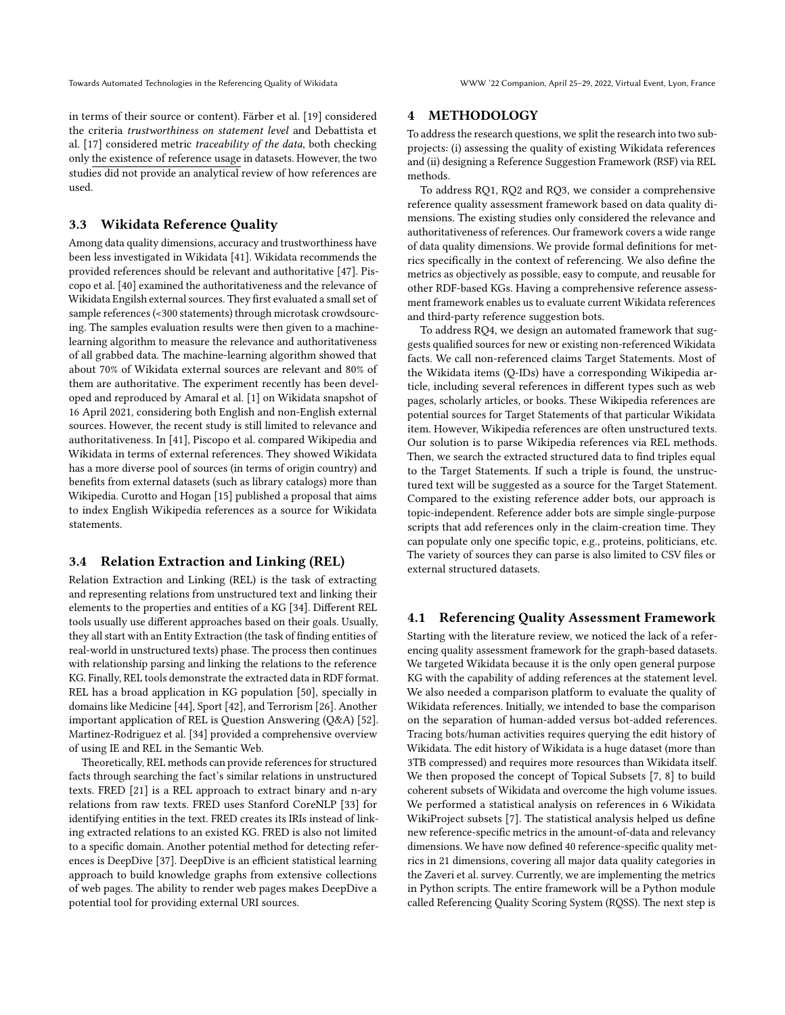in terms of their source or content). Färber et al. [\[19\]](#page-4-22) considered the criteria trustworthiness on statement level and Debattista et al. [\[17\]](#page-4-21) considered metric traceability of the data, both checking only the existence of reference usage in datasets. However, the two studies did not provide an analytical review of how references are used.

#### 3.3 Wikidata Reference Quality

Among data quality dimensions, accuracy and trustworthiness have been less investigated in Wikidata [\[41\]](#page-4-34). Wikidata recommends the provided references should be relevant and authoritative [\[47\]](#page-4-32). Piscopo et al. [\[40\]](#page-4-30) examined the authoritativeness and the relevance of Wikidata Engilsh external sources. They first evaluated a small set of sample references (<300 statements) through microtask crowdsourcing. The samples evaluation results were then given to a machinelearning algorithm to measure the relevance and authoritativeness of all grabbed data. The machine-learning algorithm showed that about 70% of Wikidata external sources are relevant and 80% of them are authoritative. The experiment recently has been developed and reproduced by Amaral et al. [\[1\]](#page-4-16) on Wikidata snapshot of 16 April 2021, considering both English and non-English external sources. However, the recent study is still limited to relevance and authoritativeness. In [\[41\]](#page-4-34), Piscopo et al. compared Wikipedia and Wikidata in terms of external references. They showed Wikidata has a more diverse pool of sources (in terms of origin country) and benefits from external datasets (such as library catalogs) more than Wikipedia. Curotto and Hogan [\[15\]](#page-4-35) published a proposal that aims to index English Wikipedia references as a source for Wikidata statements.

#### 3.4 Relation Extraction and Linking (REL)

Relation Extraction and Linking (REL) is the task of extracting and representing relations from unstructured text and linking their elements to the properties and entities of a KG [\[34\]](#page-4-36). Different REL tools usually use different approaches based on their goals. Usually, they all start with an Entity Extraction (the task of finding entities of real-world in unstructured texts) phase. The process then continues with relationship parsing and linking the relations to the reference KG. Finally, REL tools demonstrate the extracted data in RDF format. REL has a broad application in KG population [\[50\]](#page-4-37), specially in domains like Medicine [\[44\]](#page-4-38), Sport [\[42\]](#page-4-39), and Terrorism [\[26\]](#page-4-40). Another important application of REL is Question Answering (Q&A) [\[52\]](#page-4-41). Martinez-Rodriguez et al. [\[34\]](#page-4-36) provided a comprehensive overview of using IE and REL in the Semantic Web.

Theoretically, REL methods can provide references for structured facts through searching the fact's similar relations in unstructured texts. FRED [\[21\]](#page-4-42) is a REL approach to extract binary and n-ary relations from raw texts. FRED uses Stanford CoreNLP [\[33\]](#page-4-43) for identifying entities in the text. FRED creates its IRIs instead of linking extracted relations to an existed KG. FRED is also not limited to a specific domain. Another potential method for detecting references is DeepDive [\[37\]](#page-4-44). DeepDive is an efficient statistical learning approach to build knowledge graphs from extensive collections of web pages. The ability to render web pages makes DeepDive a potential tool for providing external URI sources.

#### 4 METHODOLOGY

To address the research questions, we split the research into two subprojects: (i) assessing the quality of existing Wikidata references and (ii) designing a Reference Suggestion Framework (RSF) via REL methods.

To address RQ1, RQ2 and RQ3, we consider a comprehensive reference quality assessment framework based on data quality dimensions. The existing studies only considered the relevance and authoritativeness of references. Our framework covers a wide range of data quality dimensions. We provide formal definitions for metrics specifically in the context of referencing. We also define the metrics as objectively as possible, easy to compute, and reusable for other RDF-based KGs. Having a comprehensive reference assessment framework enables us to evaluate current Wikidata references and third-party reference suggestion bots.

To address RQ4, we design an automated framework that suggests qualified sources for new or existing non-referenced Wikidata facts. We call non-referenced claims Target Statements. Most of the Wikidata items (Q-IDs) have a corresponding Wikipedia article, including several references in different types such as web pages, scholarly articles, or books. These Wikipedia references are potential sources for Target Statements of that particular Wikidata item. However, Wikipedia references are often unstructured texts. Our solution is to parse Wikipedia references via REL methods. Then, we search the extracted structured data to find triples equal to the Target Statements. If such a triple is found, the unstructured text will be suggested as a source for the Target Statement. Compared to the existing reference adder bots, our approach is topic-independent. Reference adder bots are simple single-purpose scripts that add references only in the claim-creation time. They can populate only one specific topic, e.g., proteins, politicians, etc. The variety of sources they can parse is also limited to CSV files or external structured datasets.

#### 4.1 Referencing Quality Assessment Framework

Starting with the literature review, we noticed the lack of a referencing quality assessment framework for the graph-based datasets. We targeted Wikidata because it is the only open general purpose KG with the capability of adding references at the statement level. We also needed a comparison platform to evaluate the quality of Wikidata references. Initially, we intended to base the comparison on the separation of human-added versus bot-added references. Tracing bots/human activities requires querying the edit history of Wikidata. The edit history of Wikidata is a huge dataset (more than 3TB compressed) and requires more resources than Wikidata itself. We then proposed the concept of Topical Subsets [\[7,](#page-4-45) [8\]](#page-4-46) to build coherent subsets of Wikidata and overcome the high volume issues. We performed a statistical analysis on references in 6 Wikidata WikiProject subsets [\[7\]](#page-4-45). The statistical analysis helped us define new reference-specific metrics in the amount-of-data and relevancy dimensions. We have now defined 40 reference-specific quality metrics in 21 dimensions, covering all major data quality categories in the Zaveri et al. survey. Currently, we are implementing the metrics in Python scripts. The entire framework will be a Python module called Referencing Quality Scoring System (RQSS). The next step is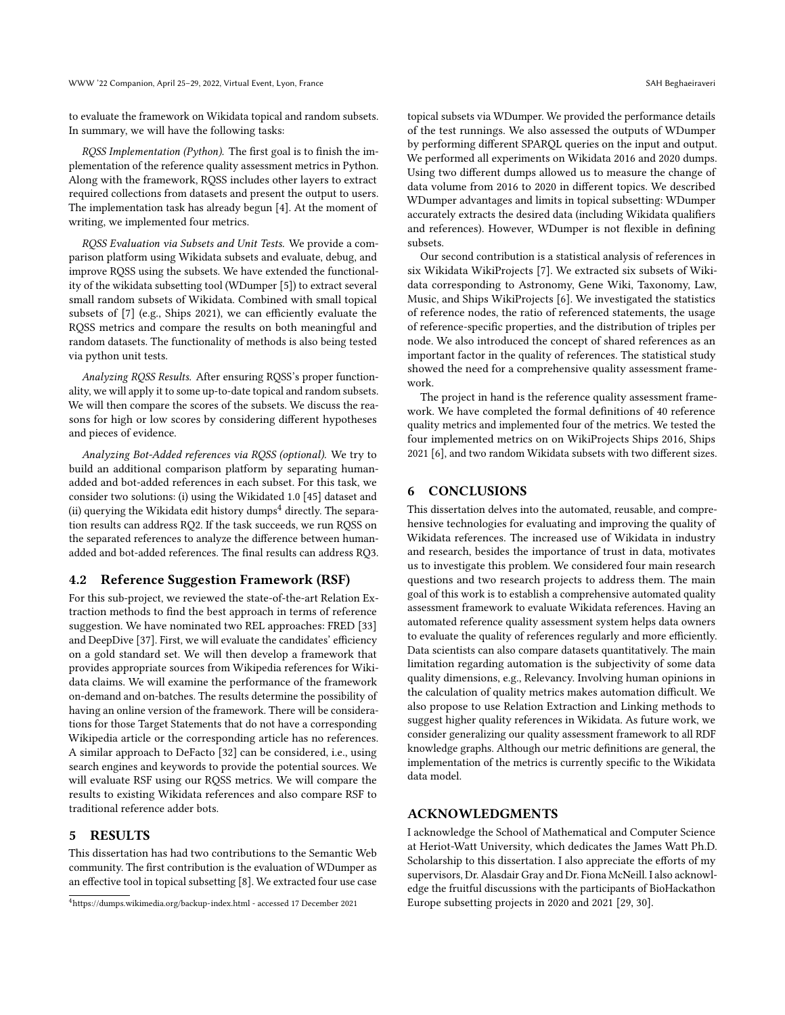to evaluate the framework on Wikidata topical and random subsets. In summary, we will have the following tasks:

RQSS Implementation (Python). The first goal is to finish the implementation of the reference quality assessment metrics in Python. Along with the framework, RQSS includes other layers to extract required collections from datasets and present the output to users. The implementation task has already begun [\[4\]](#page-4-47). At the moment of writing, we implemented four metrics.

RQSS Evaluation via Subsets and Unit Tests. We provide a comparison platform using Wikidata subsets and evaluate, debug, and improve RQSS using the subsets. We have extended the functionality of the wikidata subsetting tool (WDumper [\[5\]](#page-4-48)) to extract several small random subsets of Wikidata. Combined with small topical subsets of [\[7\]](#page-4-45) (e.g., Ships 2021), we can efficiently evaluate the RQSS metrics and compare the results on both meaningful and random datasets. The functionality of methods is also being tested via python unit tests.

Analyzing RQSS Results. After ensuring RQSS's proper functionality, we will apply it to some up-to-date topical and random subsets. We will then compare the scores of the subsets. We discuss the reasons for high or low scores by considering different hypotheses and pieces of evidence.

Analyzing Bot-Added references via RQSS (optional). We try to build an additional comparison platform by separating humanadded and bot-added references in each subset. For this task, we consider two solutions: (i) using the Wikidated 1.0 [\[45\]](#page-4-49) dataset and (ii) querying the Wikidata edit history dumps<sup>[4](#page-3-0)</sup> directly. The separation results can address RQ2. If the task succeeds, we run RQSS on the separated references to analyze the difference between humanadded and bot-added references. The final results can address RQ3.

# 4.2 Reference Suggestion Framework (RSF)

For this sub-project, we reviewed the state-of-the-art Relation Extraction methods to find the best approach in terms of reference suggestion. We have nominated two REL approaches: FRED [\[33\]](#page-4-43) and DeepDive [\[37\]](#page-4-44). First, we will evaluate the candidates' efficiency on a gold standard set. We will then develop a framework that provides appropriate sources from Wikipedia references for Wikidata claims. We will examine the performance of the framework on-demand and on-batches. The results determine the possibility of having an online version of the framework. There will be considerations for those Target Statements that do not have a corresponding Wikipedia article or the corresponding article has no references. A similar approach to DeFacto [\[32\]](#page-4-31) can be considered, i.e., using search engines and keywords to provide the potential sources. We will evaluate RSF using our RQSS metrics. We will compare the results to existing Wikidata references and also compare RSF to traditional reference adder bots.

#### 5 RESULTS

This dissertation has had two contributions to the Semantic Web community. The first contribution is the evaluation of WDumper as an effective tool in topical subsetting [\[8\]](#page-4-46). We extracted four use case topical subsets via WDumper. We provided the performance details of the test runnings. We also assessed the outputs of WDumper by performing different SPARQL queries on the input and output. We performed all experiments on Wikidata 2016 and 2020 dumps. Using two different dumps allowed us to measure the change of data volume from 2016 to 2020 in different topics. We described WDumper advantages and limits in topical subsetting: WDumper accurately extracts the desired data (including Wikidata qualifiers and references). However, WDumper is not flexible in defining subsets.

Our second contribution is a statistical analysis of references in six Wikidata WikiProjects [\[7\]](#page-4-45). We extracted six subsets of Wikidata corresponding to Astronomy, Gene Wiki, Taxonomy, Law, Music, and Ships WikiProjects [\[6\]](#page-4-50). We investigated the statistics of reference nodes, the ratio of referenced statements, the usage of reference-specific properties, and the distribution of triples per node. We also introduced the concept of shared references as an important factor in the quality of references. The statistical study showed the need for a comprehensive quality assessment framework.

The project in hand is the reference quality assessment framework. We have completed the formal definitions of 40 reference quality metrics and implemented four of the metrics. We tested the four implemented metrics on on WikiProjects Ships 2016, Ships 2021 [\[6\]](#page-4-50), and two random Wikidata subsets with two different sizes.

#### 6 CONCLUSIONS

This dissertation delves into the automated, reusable, and comprehensive technologies for evaluating and improving the quality of Wikidata references. The increased use of Wikidata in industry and research, besides the importance of trust in data, motivates us to investigate this problem. We considered four main research questions and two research projects to address them. The main goal of this work is to establish a comprehensive automated quality assessment framework to evaluate Wikidata references. Having an automated reference quality assessment system helps data owners to evaluate the quality of references regularly and more efficiently. Data scientists can also compare datasets quantitatively. The main limitation regarding automation is the subjectivity of some data quality dimensions, e.g., Relevancy. Involving human opinions in the calculation of quality metrics makes automation difficult. We also propose to use Relation Extraction and Linking methods to suggest higher quality references in Wikidata. As future work, we consider generalizing our quality assessment framework to all RDF knowledge graphs. Although our metric definitions are general, the implementation of the metrics is currently specific to the Wikidata data model.

#### ACKNOWLEDGMENTS

I acknowledge the School of Mathematical and Computer Science at Heriot-Watt University, which dedicates the James Watt Ph.D. Scholarship to this dissertation. I also appreciate the efforts of my supervisors, Dr. Alasdair Gray and Dr. Fiona McNeill. I also acknowledge the fruitful discussions with the participants of BioHackathon Europe subsetting projects in 2020 and 2021 [\[29,](#page-4-51) [30\]](#page-4-52).

<span id="page-3-0"></span><sup>4</sup><https://dumps.wikimedia.org/backup-index.html> - accessed 17 December 2021